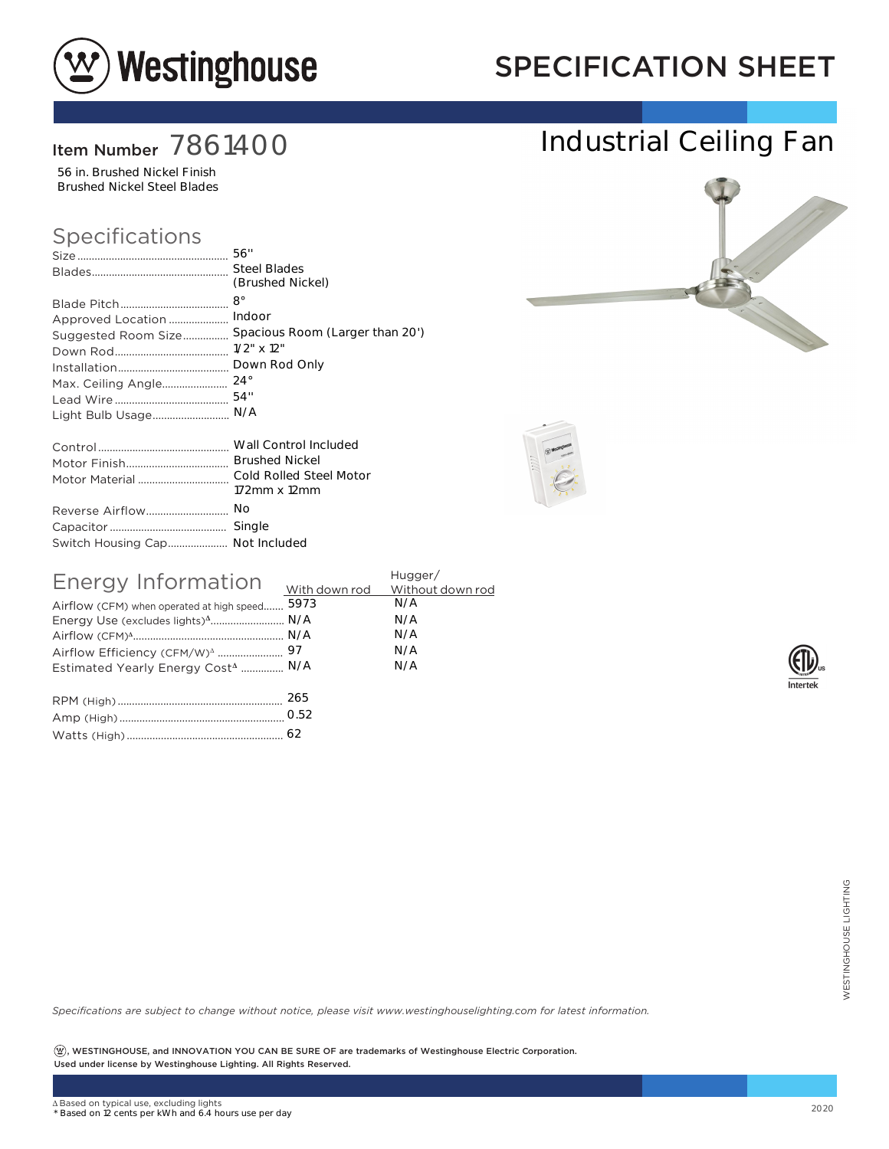

## SPECIFICATION SHEET

### Item Number 7861400

56 in. Brushed Nickel Finish Brushed Nickel Steel Blades

#### Specifications

|                                 | (Brushed Nickel)                |
|---------------------------------|---------------------------------|
|                                 | $8^{\circ}$                     |
| Approved Location               | Indoor                          |
| Suggested Room Size             | Spacious Room (Larger than 20') |
|                                 | $1/2$ " $\times$ 12"            |
|                                 | Down Rod Only                   |
|                                 | $24^{\circ}$                    |
|                                 | 54"                             |
| Light Bulb Usage                | N/A                             |
|                                 |                                 |
|                                 | <b>Brushed Nickel</b>           |
|                                 |                                 |
|                                 | 172mm x 12mm                    |
| Reverse Airflow                 | No                              |
|                                 | Single                          |
| Switch Housing Cap Not Included |                                 |

| Energy Information                             | Hugger/ |
|------------------------------------------------|---------|
| Airflow (CFM) when operated at high speed 5973 | N/A     |
| Energy Use (excludes lights) <sup>4</sup> N/A  | N/A     |
|                                                | N/A     |
|                                                | N/A     |
| Estimated Yearly Energy Cost <sup>4</sup> N/A  | N/A     |
|                                                |         |
|                                                |         |

*Specifications are subject to change without notice, please visit www.westinghouselighting.com for latest information.*

 $\left( \mathfrak{B}\right)$ , WESTINGHOUSE, and INNOVATION YOU CAN BE SURE OF are trademarks of Westinghouse Electric Corporation. Used under license by Westinghouse Lighting. All Rights Reserved. 62<br>
Cotice, please visit www.westinghouselighting.com for latest information.<br>
2020<br>
2020<br>
2020<br>
2020



Industrial Ceiling Fan